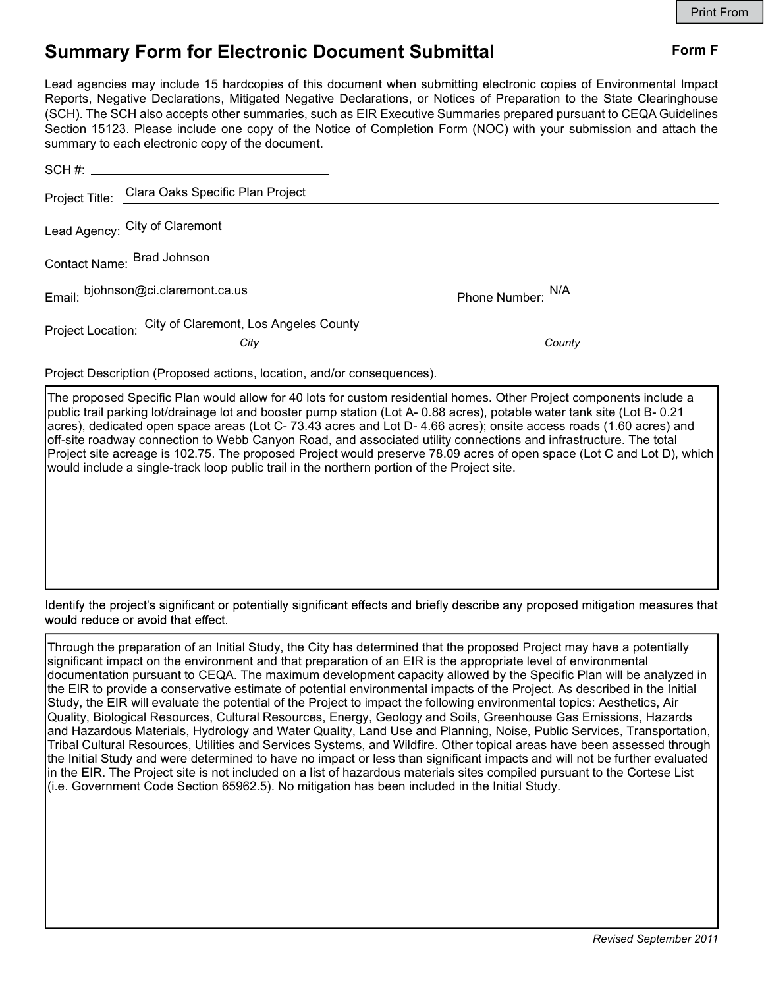## Summary Form for Electronic Document Submittal Form F

Lead agencies may include 15 hardcopies of this document when submitting electronic copies of Environmental Impact Reports, Negative Declarations, Mitigated Negative Declarations, or Notices of Preparation to the State Clearinghouse (SCH). The SCH also accepts other summaries, such as EIR Executive Summaries prepared pursuant to CEQA Guidelines Section 15123. Please include one copy of the Notice of Completion Form (NOC) with your submission and attach the summary to each electronic copy of the document.

|  | Project Title: Clara Oaks Specific Plan Project         |                              |  |
|--|---------------------------------------------------------|------------------------------|--|
|  | Lead Agency: City of Claremont                          |                              |  |
|  | Contact Name: Brad Johnson                              |                              |  |
|  | Email: bjohnson@ci.claremont.ca.us                      | Phone Number: <sup>N/A</sup> |  |
|  | Project Location: City of Claremont, Los Angeles County |                              |  |
|  | City                                                    | County                       |  |

Project Description (Proposed actions, location, and/or consequences).

The proposed Specific Plan would allow for 40 lots for custom residential homes. Other Project components include a public trail parking lot/drainage lot and booster pump station (Lot A- 0.88 acres), potable water tank site (Lot B- 0.21 acres), dedicated open space areas (Lot C- 73.43 acres and Lot D- 4.66 acres); onsite access roads (1.60 acres) and off-site roadway connection to Webb Canyon Road, and associated utility connections and infrastructure. The total Project site acreage is 102.75. The proposed Project would preserve 78.09 acres of open space (Lot C and Lot D), which would include a single-track loop public trail in the northern portion of the Project site.

Identify the project's significant or potentially significant effects and briefly describe any proposed mitigation measures that would reduce or avoid that effect.

Through the preparation of an Initial Study, the City has determined that the proposed Project may have a potentially significant impact on the environment and that preparation of an EIR is the appropriate level of environmental documentation pursuant to CEQA. The maximum development capacity allowed by the Specific Plan will be analyzed in the EIR to provide a conservative estimate of potential environmental impacts of the Project. As described in the Initial Study, the EIR will evaluate the potential of the Project to impact the following environmental topics: Aesthetics, Air Quality, Biological Resources, Cultural Resources, Energy, Geology and Soils, Greenhouse Gas Emissions, Hazards and Hazardous Materials, Hydrology and Water Quality, Land Use and Planning, Noise, Public Services, Transportation, Tribal Cultural Resources, Utilities and Services Systems, and Wildfire. Other topical areas have been assessed through the Initial Study and were determined to have no impact or less than significant impacts and will not be further evaluated in the EIR. The Project site is not included on a list of hazardous materials sites compiled pursuant to the Cortese List (i.e. Government Code Section 65962.5). No mitigation has been included in the Initial Study.